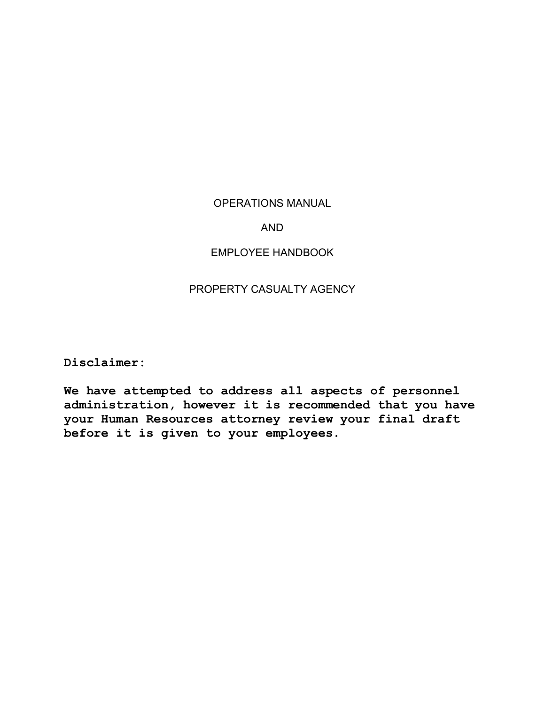## OPERATIONS MANUAL

## AND

## EMPLOYEE HANDBOOK

# PROPERTY CASUALTY AGENCY

**Disclaimer:** 

**We have attempted to address all aspects of personnel administration, however it is recommended that you have your Human Resources attorney review your final draft before it is given to your employees.**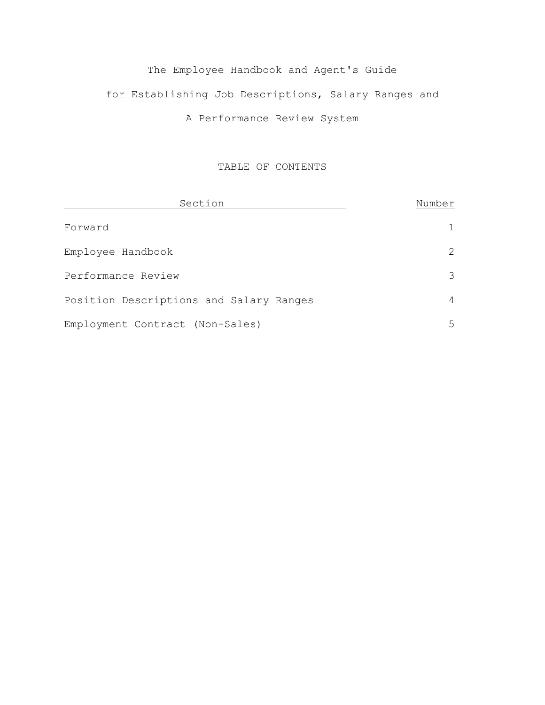# The Employee Handbook and Agent's Guide for Establishing Job Descriptions, Salary Ranges and A Performance Review System

## TABLE OF CONTENTS

| Section                                 | Number |
|-----------------------------------------|--------|
| Forward                                 |        |
| Employee Handbook                       |        |
| Performance Review                      |        |
| Position Descriptions and Salary Ranges |        |
| Employment Contract (Non-Sales)         | ↳      |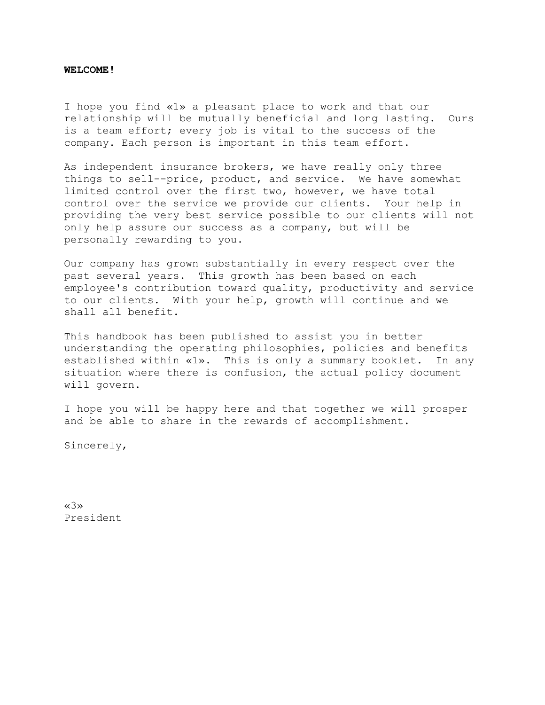#### **WELCOME!**

I hope you find «1» a pleasant place to work and that our relationship will be mutually beneficial and long lasting. Ours is a team effort; every job is vital to the success of the company. Each person is important in this team effort.

As independent insurance brokers, we have really only three things to sell--price, product, and service. We have somewhat limited control over the first two, however, we have total control over the service we provide our clients. Your help in providing the very best service possible to our clients will not only help assure our success as a company, but will be personally rewarding to you.

Our company has grown substantially in every respect over the past several years. This growth has been based on each employee's contribution toward quality, productivity and service to our clients. With your help, growth will continue and we shall all benefit.

This handbook has been published to assist you in better understanding the operating philosophies, policies and benefits established within «1». This is only a summary booklet. In any situation where there is confusion, the actual policy document will govern.

I hope you will be happy here and that together we will prosper and be able to share in the rewards of accomplishment.

Sincerely,

«3» President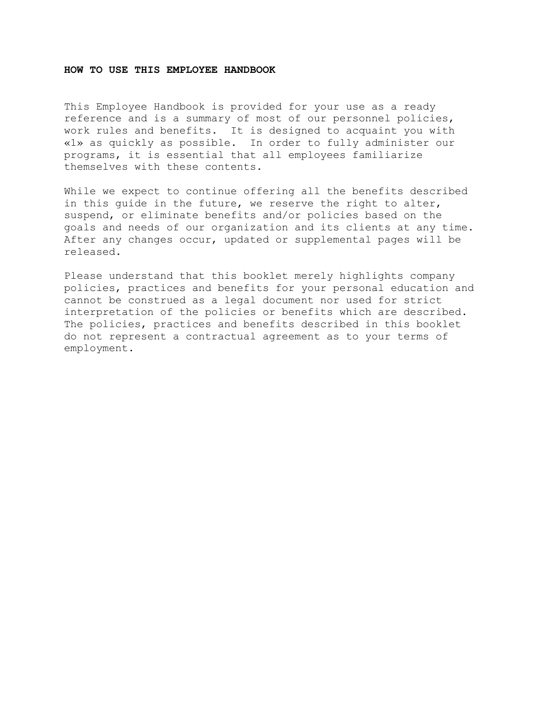#### **HOW TO USE THIS EMPLOYEE HANDBOOK**

This Employee Handbook is provided for your use as a ready reference and is a summary of most of our personnel policies, work rules and benefits. It is designed to acquaint you with «1» as quickly as possible. In order to fully administer our programs, it is essential that all employees familiarize themselves with these contents.

While we expect to continue offering all the benefits described in this guide in the future, we reserve the right to alter, suspend, or eliminate benefits and/or policies based on the goals and needs of our organization and its clients at any time. After any changes occur, updated or supplemental pages will be released.

Please understand that this booklet merely highlights company policies, practices and benefits for your personal education and cannot be construed as a legal document nor used for strict interpretation of the policies or benefits which are described. The policies, practices and benefits described in this booklet do not represent a contractual agreement as to your terms of employment.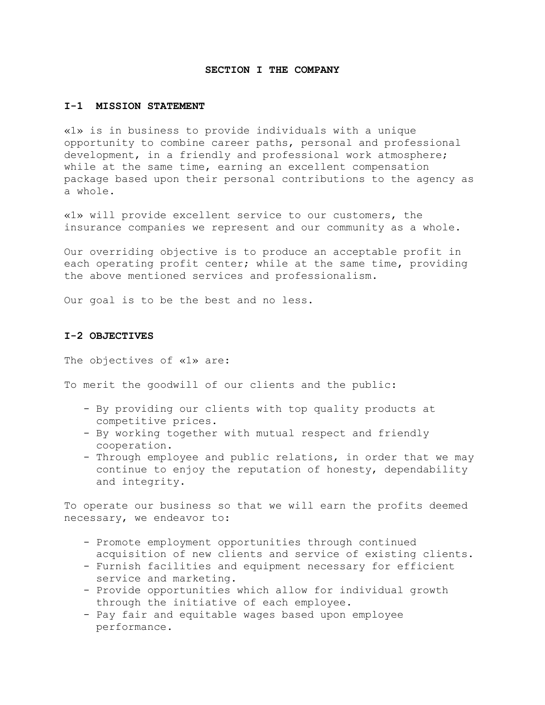#### **SECTION I THE COMPANY**

#### **I-1 MISSION STATEMENT**

«1» is in business to provide individuals with a unique opportunity to combine career paths, personal and professional development, in a friendly and professional work atmosphere; while at the same time, earning an excellent compensation package based upon their personal contributions to the agency as a whole.

«1» will provide excellent service to our customers, the insurance companies we represent and our community as a whole.

Our overriding objective is to produce an acceptable profit in each operating profit center; while at the same time, providing the above mentioned services and professionalism.

Our goal is to be the best and no less.

#### **I-2 OBJECTIVES**

The objectives of «1» are:

To merit the goodwill of our clients and the public:

- By providing our clients with top quality products at competitive prices.
- By working together with mutual respect and friendly cooperation.
- Through employee and public relations, in order that we may continue to enjoy the reputation of honesty, dependability and integrity.

To operate our business so that we will earn the profits deemed necessary, we endeavor to:

- Promote employment opportunities through continued acquisition of new clients and service of existing clients.
- Furnish facilities and equipment necessary for efficient service and marketing.
- Provide opportunities which allow for individual growth through the initiative of each employee.
- Pay fair and equitable wages based upon employee performance.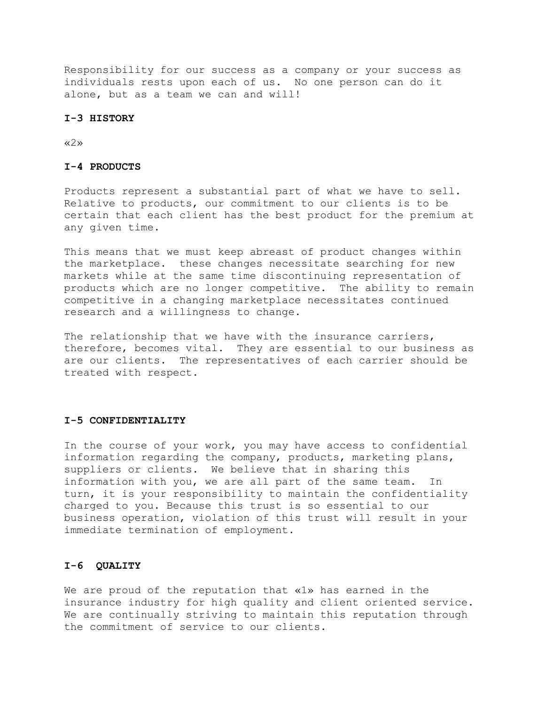Responsibility for our success as a company or your success as individuals rests upon each of us. No one person can do it alone, but as a team we can and will!

#### **I-3 HISTORY**

«2»

#### **I-4 PRODUCTS**

Products represent a substantial part of what we have to sell. Relative to products, our commitment to our clients is to be certain that each client has the best product for the premium at any given time.

This means that we must keep abreast of product changes within the marketplace. these changes necessitate searching for new markets while at the same time discontinuing representation of products which are no longer competitive. The ability to remain competitive in a changing marketplace necessitates continued research and a willingness to change.

The relationship that we have with the insurance carriers, therefore, becomes vital. They are essential to our business as are our clients. The representatives of each carrier should be treated with respect.

#### **I-5 CONFIDENTIALITY**

In the course of your work, you may have access to confidential information regarding the company, products, marketing plans, suppliers or clients. We believe that in sharing this information with you, we are all part of the same team. In turn, it is your responsibility to maintain the confidentiality charged to you. Because this trust is so essential to our business operation, violation of this trust will result in your immediate termination of employment.

#### **I-6 QUALITY**

We are proud of the reputation that «1» has earned in the insurance industry for high quality and client oriented service. We are continually striving to maintain this reputation through the commitment of service to our clients.